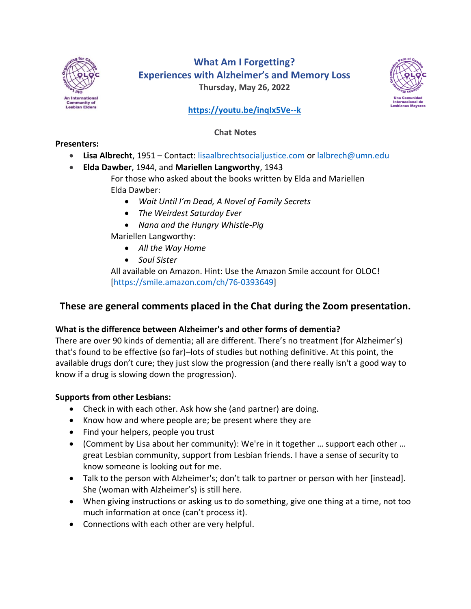

# **What Am I Forgetting? Experiences with Alzheimer's and Memory Loss Thursday, May 26, 2022**



## **<https://youtu.be/inqIx5Ve--k>**

#### **Chat Notes**

#### **Presenters:**

- **Lisa Albrecht**, 1951 Contact: [lisaalbrechtsocialjustice.com](mailto:lisaalbrechtsocialjustice.com) or [lalbrech@umn.edu](mailto:lalbrech@umn.edu)
- **Elda Dawber**, 1944, and **Mariellen Langworthy**, 1943

For those who asked about the books written by Elda and Mariellen Elda Dawber:

- *Wait Until I'm Dead, A Novel of Family Secrets*
- *The Weirdest Saturday Ever*
- *Nana and the Hungry Whistle-Pig*
- Mariellen Langworthy:
	- *All the Way Home*
	- *Soul Sister*

All available on Amazon. Hint: Use the Amazon Smile account for OLOC! [\[https://smile.amazon.com/ch/76-0393649\]](https://smile.amazon.com/ch/76-0393649)

## **These are general comments placed in the Chat during the Zoom presentation.**

## **What is the difference between Alzheimer's and other forms of dementia?**

There are over 90 kinds of dementia; all are different. There's no treatment (for Alzheimer's) that's found to be effective (so far)–lots of studies but nothing definitive. At this point, the available drugs don't cure; they just slow the progression (and there really isn't a good way to know if a drug is slowing down the progression).

## **Supports from other Lesbians:**

- Check in with each other. Ask how she (and partner) are doing.
- Know how and where people are; be present where they are
- Find your helpers, people you trust
- (Comment by Lisa about her community): We're in it together … support each other … great Lesbian community, support from Lesbian friends. I have a sense of security to know someone is looking out for me.
- Talk to the person with Alzheimer's; don't talk to partner or person with her [instead]. She (woman with Alzheimer's) is still here.
- When giving instructions or asking us to do something, give one thing at a time, not too much information at once (can't process it).
- Connections with each other are very helpful.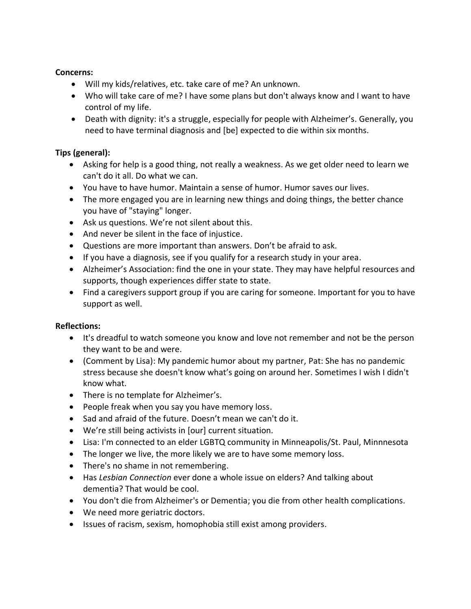#### **Concerns:**

- Will my kids/relatives, etc. take care of me? An unknown.
- Who will take care of me? I have some plans but don't always know and I want to have control of my life.
- Death with dignity: it's a struggle, especially for people with Alzheimer's. Generally, you need to have terminal diagnosis and [be] expected to die within six months.

#### **Tips (general):**

- Asking for help is a good thing, not really a weakness. As we get older need to learn we can't do it all. Do what we can.
- You have to have humor. Maintain a sense of humor. Humor saves our lives.
- The more engaged you are in learning new things and doing things, the better chance you have of "staying" longer.
- Ask us questions. We're not silent about this.
- And never be silent in the face of injustice.
- Questions are more important than answers. Don't be afraid to ask.
- If you have a diagnosis, see if you qualify for a research study in your area.
- Alzheimer's Association: find the one in your state. They may have helpful resources and supports, though experiences differ state to state.
- Find a caregivers support group if you are caring for someone. Important for you to have support as well.

## **Reflections:**

- It's dreadful to watch someone you know and love not remember and not be the person they want to be and were.
- (Comment by Lisa): My pandemic humor about my partner, Pat: She has no pandemic stress because she doesn't know what's going on around her. Sometimes I wish I didn't know what.
- There is no template for Alzheimer's.
- People freak when you say you have memory loss.
- Sad and afraid of the future. Doesn't mean we can't do it.
- We're still being activists in [our] current situation.
- Lisa: I'm connected to an elder LGBTQ community in Minneapolis/St. Paul, Minnnesota
- The longer we live, the more likely we are to have some memory loss.
- There's no shame in not remembering.
- Has *Lesbian Connection* ever done a whole issue on elders? And talking about dementia? That would be cool.
- You don't die from Alzheimer's or Dementia; you die from other health complications.
- We need more geriatric doctors.
- Issues of racism, sexism, homophobia still exist among providers.